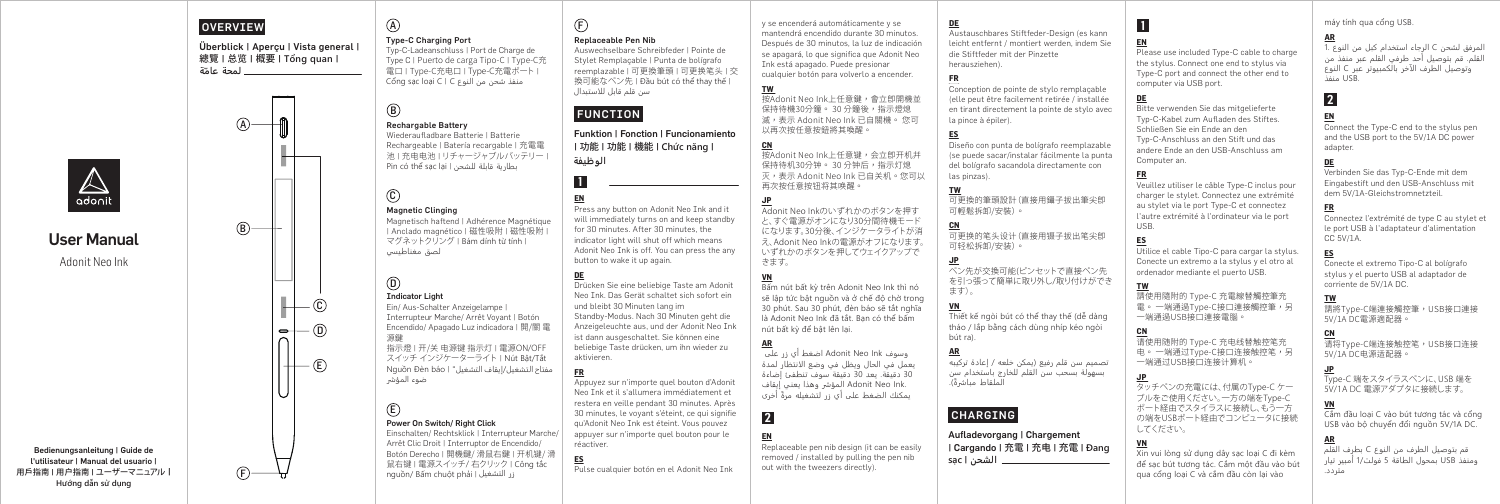### OVERVIEW

A

 $(B)$ 

 $(F)$ 

### Überblick | Aperçu | Vista general | 總覽 | 总览 | 概要 | **Tổng quan** | **لمحة ّ عامة**

# $\mathbb{A}$

# User Manual Adonit Neo Ink

Bedienungsanleitung | Guide de l'utilisateur | Manual del usuario | 用戶指南 | 用户指南 | ユーザーマニュアル | **Hướng dẫn sử dụng** 

# A

#### Type-C Charging Port

Typ-C-Ladeanschluss | Port de Charge de Type C | Puerto de carga Tipo-C | Type-C充 電口 | Type-C充电口 | Type-C充電ポート | Cổng sạc loại C | C النوع من شحن منفذ

#### $(B)$ Rechargable Battery

Wiederaufladbare Batterie | Batterie Rechargeable | Batería recargable | 充電電 池 | 充电电池 | リチャージャブルバッテリー | Pin có thể sạc lại | للشحن قابلة بطارية

# $\mathbf{C}$

#### Magnetic Clinging

Magnetisch haftend | Adhérence Magnétique | Anclado magnético | 磁性吸附 | 磁性吸附 | マグネットクリング | Bám dính từ tính | لصق مغناطيسي

#### Indicator Light  $\circledR$

 $(D -$ 

 $-+$ 

 $\cdot$  (c)

 $-\left(\widehat{E}\right)$ 

Ein/ Aus-Schalter Anzeigelampe |

Interrupteur Marche/ Arrêt Voyant | Botón Encendido/ Apagado Luz indicadora | 開/關 電 源鍵 指示燈 | 开/关 电源键 指示灯 | 電源ON/OFF スイッチ インジケーターライト | Nút Bật/Tắt

مفتاح التشغيل/إيقاف التشغيل" | báo Đèn Nguồn ضوء المؤشر

### $(E)$ Power On Switch/ Right Click

Einschalten/ Rechtsklick | Interrupteur Marche/ Arrêt Clic Droit | Interruptor de Encendido/ Botón Derecho | 開機鍵/ 滑鼠右鍵 | 开机键/ 滑 鼠右键 | 電源スイッチ/ 右クリック | Công tắc nguồn/ Bấm chuột phải | التشغيل زر

### Replaceable Pen Nib

 $(F)$ 

Auswechselbare Schreibfeder | Pointe de Stylet Remplaçable | Punta de bolígrafo reemplazable | 可更換筆頭 | 可更换笔头 | 交 換可能なペン先 | Đầu bút có thể thay thế | سن قلم قابل للاستبدال

# FUNCTION

Funktion | Fonction | Funcionamiento | 功能 | 功能 | 機能 | **Chức năng** | **الوظيفة** 

Press any button on Adonit Neo Ink and it will immediately turns on and keep standby for 30 minutes. After 30 minutes, the indicator light will shut off which means Adonit Neo Ink is off. You can press the any button to wake it up again.

### **DE**

**EN**

**1**

Drücken Sie eine beliebige Taste am Adonit Neo Ink. Das Gerät schaltet sich sofort ein und bleibt 30 Minuten lang im Standby-Modus. Nach 30 Minuten geht die Anzeigeleuchte aus, und der Adonit Neo Ink ist dann ausgeschaltet. Sie können eine beliebige Taste drücken, um ihn wieder zu aktivieren.

#### **FR**

Appuyez sur n'importe quel bouton d'Adonit Neo Ink et il s'allumera immédiatement et restera en veille pendant 30 minutes. Après 30 minutes, le voyant s'éteint, ce qui signifie qu'Adonit Neo Ink est éteint. Vous pouvez appuyer sur n'importe quel bouton pour le réactiver.

#### **ES**

Pulse cualquier botón en el Adonit Neo Ink

# y se encenderá automáticamente y se

**DE** 

**ES**

**CN**

**JP**

ます)。 **VN** 

bút ra). **AR**

las pinzas). **TW**

可輕鬆拆卸/安裝)。

可轻松拆卸/安装)。

mantendrá encendido durante 30 minutos. Después de 30 minutos, la luz de indicación se apagará, lo que significa que Adonit Neo Ink está apagado. Puede presionar cualquier botón para volverlo a encender. Austauschbares Stiftfeder-Design (es kann leicht entfernt / montiert werden, indem Sie die Stiftfeder mit der Pinzette herausziehen). **FR**

**TW**  按Adonit Neo Ink上任意鍵,會立即開機並 保持待機30分鐘。 30 分鐘後,指示燈熄 滅,表示 Adonit Neo Ink 已自關機。 您可 以再次按任意按鈕將其喚醒。 Conception de pointe de stylo remplaçable en tirant directement la pointe de stylo avec la pince à épiler).

#### **CN** 按Adonit Neo Ink上任意键,会立即开机并 保持待机30分钟。 30 分钟后,指示灯熄 灭,表示 Adonit Neo Ink 已自关机。您可以

再次按任意按钮将其唤醒。 **JP** Adonit Neo Inkのいずれかのボタンを押す と、すぐ電源がオンになり30分間待機モード になります。30分後、インジケータライトが消 え、Adonit Neo Inkの電源がオフになります。 いずれかのボタンを押してウェイクアップで きます。

#### **VN**

**2**

**EN** 

**AR**

Bấm nút bất kỳ trên Adonit Neo Ink thì nó sẽ lập tức bật nguồn và ở chế độ chờ trong 30 phút. Sau 30 phút, đèn báo sẽ tắt nghĩa là Adonit Neo Ink đã tắt. Bạn có thể bấm nút bất kỳ để bật lên lại.

#### وسوف Ink Neo Adonit اضغط أي زر على

يعمل في الحال ويظل في وضع ا��نتظار لمدة 30 دقيقة. يعد 30 دقيقة سوف تنطفئ إضاءة .Adonit Neo Ink المؤشر وهذا يعني إيقاف ً يمكنك الضغط على أي زر لتشغيله مرة أخرى

Replaceable pen nib design (it can be easily removed / installed by pulling the pen nib out with the tweezers directly).

# | Cargando | 充電 | 充电 | 充電 | **Đang الشحن** | **sạc**

#### máy tính qua cổng USB.

#### **AR** المرفق لشحن C الرجاء استخدام كبل من النوع 1. القلم. قم بتوصيل أحد طرفي القلم عبر منفذ من وتوصيل الطرف ا��خر بالكمبيوتر عبر C النوع .USB منفذ

Connect the Type-C end to the stylus pen and the USB port to the 5V/1A DC power

Verbinden Sie das Typ-C-Ende mit dem Eingabestift und den USB-Anschluss mit dem 5V/1A-Gleichstromnetzteil.

Connectez l'extrémité de type C au stylet et le port USB à l'adaptateur d'alimentation

Conecte el extremo Tipo-C al bolígrafo stylus y el puerto USB al adaptador de

請將Type-C端連接觸控筆,USB接口連接

corriente de 5V/1A DC.

5V/1A DC電源適配器。

# **2 EN**

adapter. **DE**

**FR**

**TW**

CC 5V/1A. **ES**

Bitte verwenden Sie das mitgelieferte Typ-C-Kabel zum Aufladen des Stiftes. Schließen Sie ein Ende an den Typ-C-Anschluss an den Stift und das andere Ende an den USB-Anschluss am Computer an.

Please use included Type-C cable to charge the stylus. Connect one end to stylus via Type-C port and connect the other end to

computer via USB port.

**EN** 

**1**

**DE** 

**FR** Veuillez utiliser le câble Type-C inclus pour charger le stylet. Connectez une extrémité au stylet via le port Type-C et connectez l'autre extrémité à l'ordinateur via le port USB.

#### **ES**

Utilice el cable Tipo-C para cargar la stylus. Conecte un extremo a la stylus y el otro al ordenador mediante el puerto USB.

#### **TW**

してください。

**CN**

請使用隨附的 Type-C 充電線替觸控筆充 電。 一端通過Type-C接口連接觸控筆,另 一端通過USB接口連接電腦。

**JP**  タッチペンの充電には、付属のType-C ケー ブルをご使用ください。一方の端をType-C ポート経由でスタイラスに接続し、もう一方 の端をUSBポート経由でコンピュータに接続

请使用随附的 Type-C 充电线替触控笔充 电。 一端通过Type-C接口连接触控笔,另 一端通过USB接口连接计算机。 **CN** 请将Type-C端连接触控笔,USB接口连接 5V/1A DC电源适配器。

### **JP**

Type-C 端をスタイラスペンに、USB 端を 5V/1A DC 電源アダプタに接続します。

#### **VN**

Cắm đầu loại C vào bút tương tác và cổng USB vào bộ chuyển đổi nguồn 5V/1A DC.

#### **AR**

**VN** Xin vui lòng sử dụng dây sạc loại C đi kèm để sạc bút tương tác. Cắm một đầu vào bút qua cổng loại C và cắm đầu còn lại vào قم بتوصيل الطرف من النوع C بطرف القلم ومنفذ USB بمحول الطاقة 5 فولت1/ أمبير تيار متردد.

# CHARGING بسهولة بسحب سن القلم للخارج باستخدام سن ً الملقاط مبا��ة).

(elle peut être facilement retirée / installée

Diseño con punta de bolígrafo reemplazable (se puede sacar/instalar fácilmente la punta del bolígrafo sacandola directamente con

可更換的筆頭設計(直接用鑷子拔出筆尖即

可更换的笔头设计(直接用镊子拔出笔尖即

ペン先が交換可能(ピンセットで直接ペン先 を引っ張って簡単に取り外し/取り付けができ

Thiết kế ngòi bút có thể thay thế (dễ dàng tháo / lắp bằng cách dùng nhíp kéo ngòi

تصميم سن قلم رفيع (يمكن خلعه / إعادة تركيبه

Aufladevorgang | Chargement